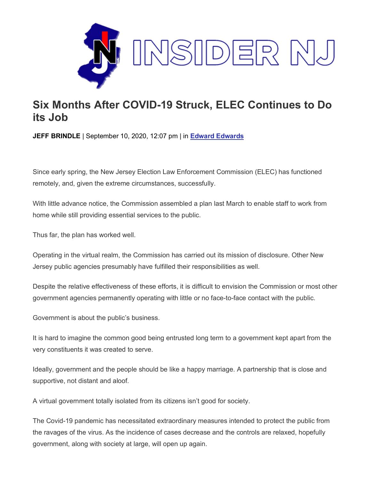

## **Six Months After COVID-19 Struck, ELEC Continues to Do its Job**

**JEFF BRINDLE** | September 10, 2020, 12:07 pm | in **[Edward Edwards](https://www.insidernj.com/category/edward-edwards/)**

Since early spring, the New Jersey Election Law Enforcement Commission (ELEC) has functioned remotely, and, given the extreme circumstances, successfully.

With little advance notice, the Commission assembled a plan last March to enable staff to work from home while still providing essential services to the public.

Thus far, the plan has worked well.

Operating in the virtual realm, the Commission has carried out its mission of disclosure. Other New Jersey public agencies presumably have fulfilled their responsibilities as well.

Despite the relative effectiveness of these efforts, it is difficult to envision the Commission or most other government agencies permanently operating with little or no face-to-face contact with the public.

Government is about the public's business.

It is hard to imagine the common good being entrusted long term to a government kept apart from the very constituents it was created to serve.

Ideally, government and the people should be like a happy marriage. A partnership that is close and supportive, not distant and aloof.

A virtual government totally isolated from its citizens isn't good for society.

The Covid-19 pandemic has necessitated extraordinary measures intended to protect the public from the ravages of the virus. As the incidence of cases decrease and the controls are relaxed, hopefully government, along with society at large, will open up again.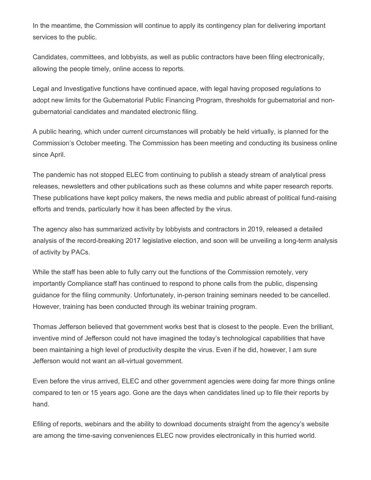In the meantime, the Commission will continue to apply its contingency plan for delivering important services to the public.

Candidates, committees, and lobbyists, as well as public contractors have been filing electronically, allowing the people timely, online access to reports.

Legal and Investigative functions have continued apace, with legal having proposed regulations to adopt new limits for the Gubernatorial Public Financing Program, thresholds for gubernatorial and nongubernatorial candidates and mandated electronic filing.

A public hearing, which under current circumstances will probably be held virtually, is planned for the Commission's October meeting. The Commission has been meeting and conducting its business online since April.

The pandemic has not stopped ELEC from continuing to publish a steady stream of analytical press releases, newsletters and other publications such as these columns and white paper research reports. These publications have kept policy makers, the news media and public abreast of political fund-raising efforts and trends, particularly how it has been affected by the virus.

The agency also has summarized activity by lobbyists and contractors in 2019, released a detailed analysis of the record-breaking 2017 legislative election, and soon will be unveiling a long-term analysis of activity by PACs.

While the staff has been able to fully carry out the functions of the Commission remotely, very importantly Compliance staff has continued to respond to phone calls from the public, dispensing guidance for the filing community. Unfortunately, in-person training seminars needed to be cancelled. However, training has been conducted through its webinar training program.

Thomas Jefferson believed that government works best that is closest to the people. Even the brilliant, inventive mind of Jefferson could not have imagined the today's technological capabilities that have been maintaining a high level of productivity despite the virus. Even if he did, however, I am sure Jefferson would not want an all-virtual government.

Even before the virus arrived, ELEC and other government agencies were doing far more things online compared to ten or 15 years ago. Gone are the days when candidates lined up to file their reports by hand.

Efiling of reports, webinars and the ability to download documents straight from the agency's website are among the time-saving conveniences ELEC now provides electronically in this hurried world.